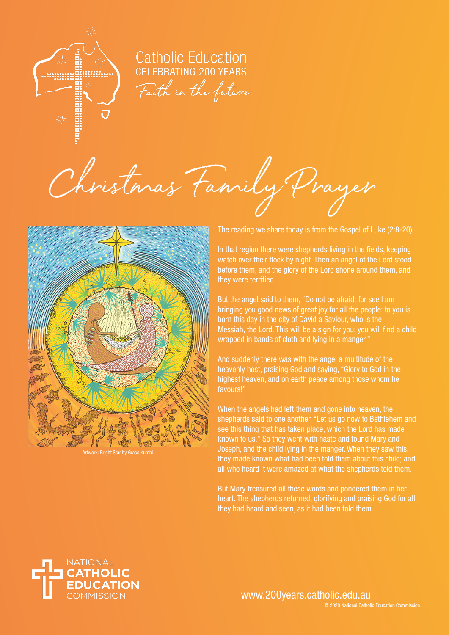

**Catholic Education CELEBRATING 200 YEARS** Faith in the future

Christmas Family Prayer



Artwork: Bright Star by Grace Kumbi

The reading we share today is from the Gospel of Luke (2:8-20)

In that region there were shepherds living in the fields, keeping watch over their flock by night. Then an angel of the Lord stood before them, and the glory of the Lord shone around them, and they were terrified.

But the angel said to them, "Do not be afraid; for see I am bringing you good news of great joy for all the people: to you is born this day in the city of David a Saviour, who is the Messiah, the Lord. This will be a sign for you: you will find a child wrapped in bands of cloth and lying in a manger."

And suddenly there was with the angel a multitude of the heavenly host, praising God and saying, "Glory to God in the highest heaven, and on earth peace among those whom he favours!"

When the angels had left them and gone into heaven, the shepherds said to one another, "Let us go now to Bethlehem and see this thing that has taken place, which the Lord has made known to us." So they went with haste and found Mary and Joseph, and the child lying in the manger. When they saw this, they made known what had been told them about this child; and all who heard it were amazed at what the shepherds told them.

But Mary treasured all these words and pondered them in her heart. The shepherds returned, glorifying and praising God for all they had heard and seen, as it had been told them.